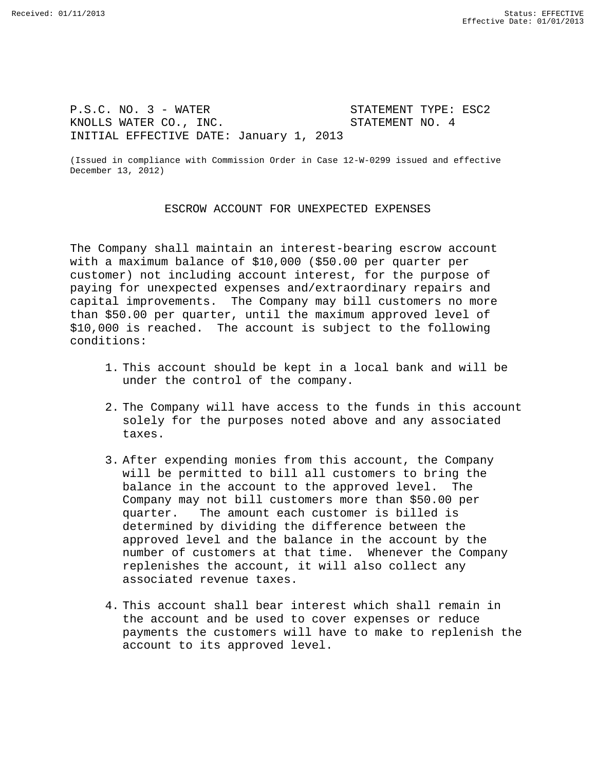P.S.C. NO. 3 - WATER<br>
KNOLLS WATER CO., INC.<br>
STATEMENT NO. 4 KNOLLS WATER CO., INC. INITIAL EFFECTIVE DATE: January 1, 2013

(Issued in compliance with Commission Order in Case 12-W-0299 issued and effective December 13, 2012)

## ESCROW ACCOUNT FOR UNEXPECTED EXPENSES

The Company shall maintain an interest-bearing escrow account with a maximum balance of \$10,000 (\$50.00 per quarter per customer) not including account interest, for the purpose of paying for unexpected expenses and/extraordinary repairs and capital improvements. The Company may bill customers no more than \$50.00 per quarter, until the maximum approved level of \$10,000 is reached. The account is subject to the following conditions:

- 1. This account should be kept in a local bank and will be under the control of the company.
- 2. The Company will have access to the funds in this account solely for the purposes noted above and any associated taxes.
- 3. After expending monies from this account, the Company will be permitted to bill all customers to bring the balance in the account to the approved level. The Company may not bill customers more than \$50.00 per quarter. The amount each customer is billed is The amount each customer is billed is determined by dividing the difference between the approved level and the balance in the account by the number of customers at that time. Whenever the Company replenishes the account, it will also collect any associated revenue taxes.
- 4. This account shall bear interest which shall remain in the account and be used to cover expenses or reduce payments the customers will have to make to replenish the account to its approved level.